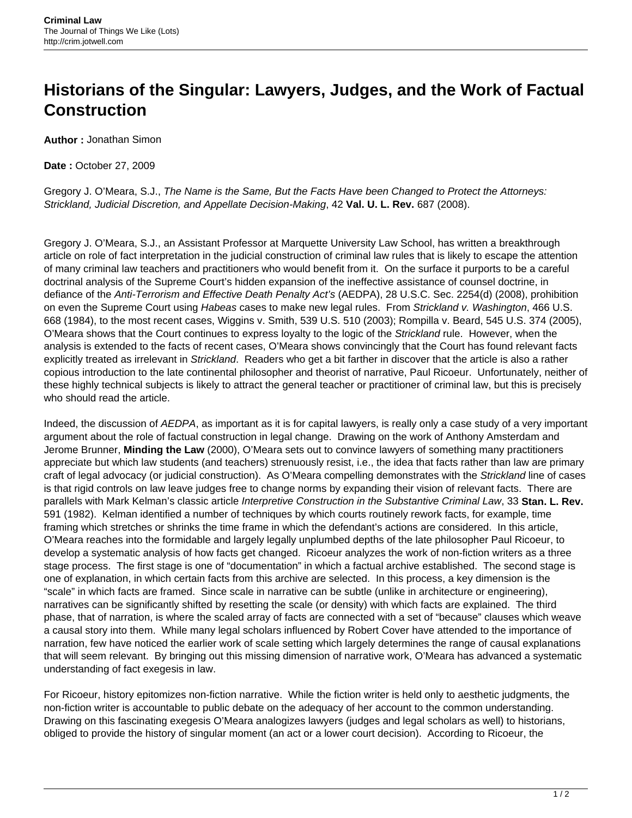## **Historians of the Singular: Lawyers, Judges, and the Work of Factual Construction**

**Author :** Jonathan Simon

**Date :** October 27, 2009

Gregory J. O'Meara, S.J., The Name is the Same, But the Facts Have been Changed to Protect the Attorneys: Strickland, Judicial Discretion, and Appellate Decision-Making, 42 **Val. U. L. Rev.** 687 (2008).

Gregory J. O'Meara, S.J., an Assistant Professor at Marquette University Law School, has written a breakthrough article on role of fact interpretation in the judicial construction of criminal law rules that is likely to escape the attention of many criminal law teachers and practitioners who would benefit from it. On the surface it purports to be a careful doctrinal analysis of the Supreme Court's hidden expansion of the ineffective assistance of counsel doctrine, in defiance of the Anti-Terrorism and Effective Death Penalty Act's (AEDPA), 28 U.S.C. Sec. 2254(d) (2008), prohibition on even the Supreme Court using Habeas cases to make new legal rules. From Strickland v. Washington, 466 U.S. 668 (1984), to the most recent cases, Wiggins v. Smith, 539 U.S. 510 (2003); Rompilla v. Beard, 545 U.S. 374 (2005), O'Meara shows that the Court continues to express loyalty to the logic of the Strickland rule. However, when the analysis is extended to the facts of recent cases, O'Meara shows convincingly that the Court has found relevant facts explicitly treated as irrelevant in Strickland. Readers who get a bit farther in discover that the article is also a rather copious introduction to the late continental philosopher and theorist of narrative, Paul Ricoeur. Unfortunately, neither of these highly technical subjects is likely to attract the general teacher or practitioner of criminal law, but this is precisely who should read the article.

Indeed, the discussion of AEDPA, as important as it is for capital lawyers, is really only a case study of a very important argument about the role of factual construction in legal change. Drawing on the work of Anthony Amsterdam and Jerome Brunner, **Minding the Law** (2000), O'Meara sets out to convince lawyers of something many practitioners appreciate but which law students (and teachers) strenuously resist, i.e., the idea that facts rather than law are primary craft of legal advocacy (or judicial construction). As O'Meara compelling demonstrates with the Strickland line of cases is that rigid controls on law leave judges free to change norms by expanding their vision of relevant facts. There are parallels with Mark Kelman's classic article Interpretive Construction in the Substantive Criminal Law, 33 **Stan. L. Rev.** 591 (1982). Kelman identified a number of techniques by which courts routinely rework facts, for example, time framing which stretches or shrinks the time frame in which the defendant's actions are considered. In this article, O'Meara reaches into the formidable and largely legally unplumbed depths of the late philosopher Paul Ricoeur, to develop a systematic analysis of how facts get changed. Ricoeur analyzes the work of non-fiction writers as a three stage process. The first stage is one of "documentation" in which a factual archive established. The second stage is one of explanation, in which certain facts from this archive are selected. In this process, a key dimension is the "scale" in which facts are framed. Since scale in narrative can be subtle (unlike in architecture or engineering), narratives can be significantly shifted by resetting the scale (or density) with which facts are explained. The third phase, that of narration, is where the scaled array of facts are connected with a set of "because" clauses which weave a causal story into them. While many legal scholars influenced by Robert Cover have attended to the importance of narration, few have noticed the earlier work of scale setting which largely determines the range of causal explanations that will seem relevant. By bringing out this missing dimension of narrative work, O'Meara has advanced a systematic understanding of fact exegesis in law.

For Ricoeur, history epitomizes non-fiction narrative. While the fiction writer is held only to aesthetic judgments, the non-fiction writer is accountable to public debate on the adequacy of her account to the common understanding. Drawing on this fascinating exegesis O'Meara analogizes lawyers (judges and legal scholars as well) to historians, obliged to provide the history of singular moment (an act or a lower court decision). According to Ricoeur, the